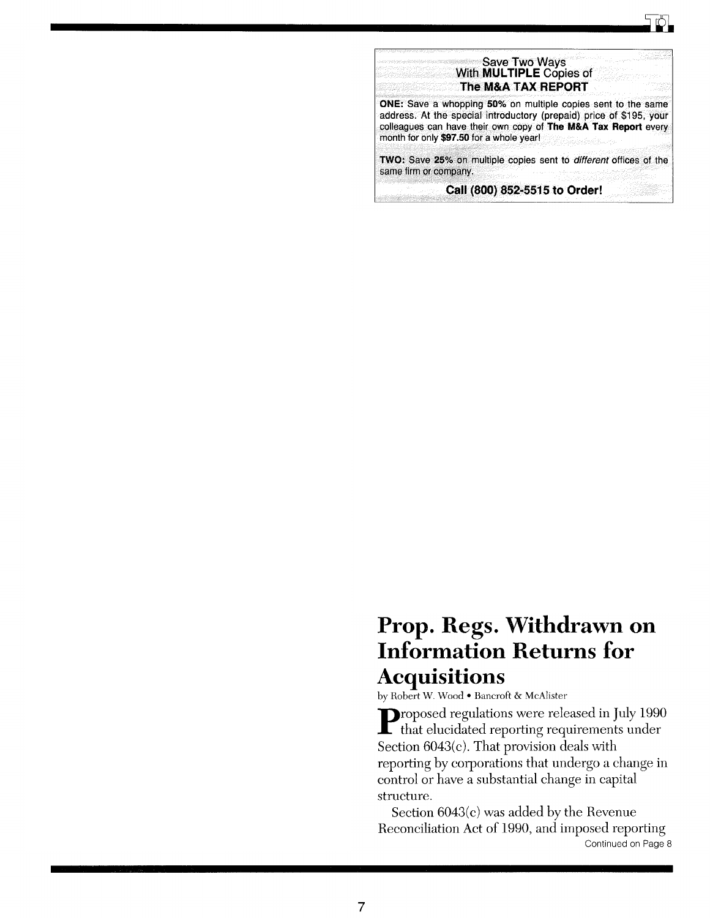## Prop. Regs. Withdrawn on Information Returns for Acquisitions

by Robert w. Wood • Bancroft & McAlister

Proposed regulations were released in July 1990 that elucidated reporting requirements under Section 6043(c). That provision deals with reporting by corporations that undergo a change in control or have a substantial change in capital structure.

Section 6043(c) was added by the Revenue Reconciliation Act of 1990, and imposed reporting Continued on Page 8